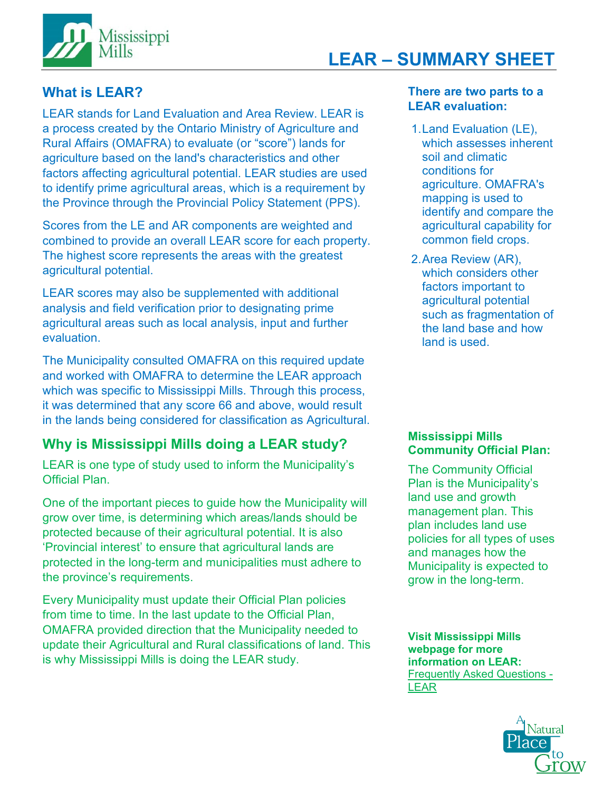

# **LEAR – SUMMARY SHEET**

# **What is LEAR?**

LEAR stands for Land Evaluation and Area Review. LEAR is a process created by the Ontario Ministry of Agriculture and Rural Affairs (OMAFRA) to evaluate (or "score") lands for agriculture based on the land's characteristics and other factors affecting agricultural potential. LEAR studies are used to identify prime agricultural areas, which is a requirement by the Province through the Provincial Policy Statement (PPS).

Scores from the LE and AR components are weighted and combined to provide an overall LEAR score for each property. The highest score represents the areas with the greatest agricultural potential.

LEAR scores may also be supplemented with additional analysis and field verification prior to designating prime agricultural areas such as local analysis, input and further evaluation.

The Municipality consulted OMAFRA on this required update and worked with OMAFRA to determine the LEAR approach which was specific to Mississippi Mills. Through this process, it was determined that any score 66 and above, would result in the lands being considered for classification as Agricultural.

# **Why is Mississippi Mills doing a LEAR study?**

LEAR is one type of study used to inform the Municipality's Official Plan.

One of the important pieces to guide how the Municipality will grow over time, is determining which areas/lands should be protected because of their agricultural potential. It is also 'Provincial interest' to ensure that agricultural lands are protected in the long-term and municipalities must adhere to the province's requirements.

Every Municipality must update their Official Plan policies from time to time. In the last update to the Official Plan, OMAFRA provided direction that the Municipality needed to update their Agricultural and Rural classifications of land. This is why Mississippi Mills is doing the LEAR study.

# **There are two parts to a LEAR evaluation:**

- 1.Land Evaluation (LE), which assesses inherent soil and climatic conditions for agriculture. OMAFRA's mapping is used to identify and compare the agricultural capability for common field crops.
- 2.Area Review (AR), which considers other factors important to agricultural potential such as fragmentation of the land base and how land is used.

## **Mississippi Mills Community Official Plan:**

The Community Official Plan is the Municipality's land use and growth management plan. This plan includes land use policies for all types of uses and manages how the Municipality is expected to grow in the long-term.

**Visit Mississippi Mills webpage for more information on LEAR:**  [Frequently Asked Questions -](https://www.mississippimills.ca/en/news/frequently-asked-questions-opa-29-prime-agricultural-area-designation-review.aspx) [LEAR](https://www.mississippimills.ca/en/news/frequently-asked-questions-opa-29-prime-agricultural-area-designation-review.aspx)